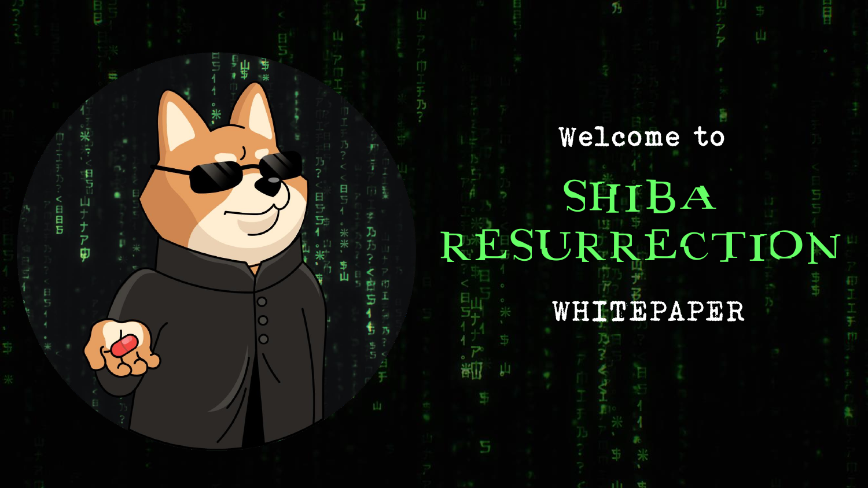# Welcome to SHIBA RESURRECTION

棐

#### WHITEPAPER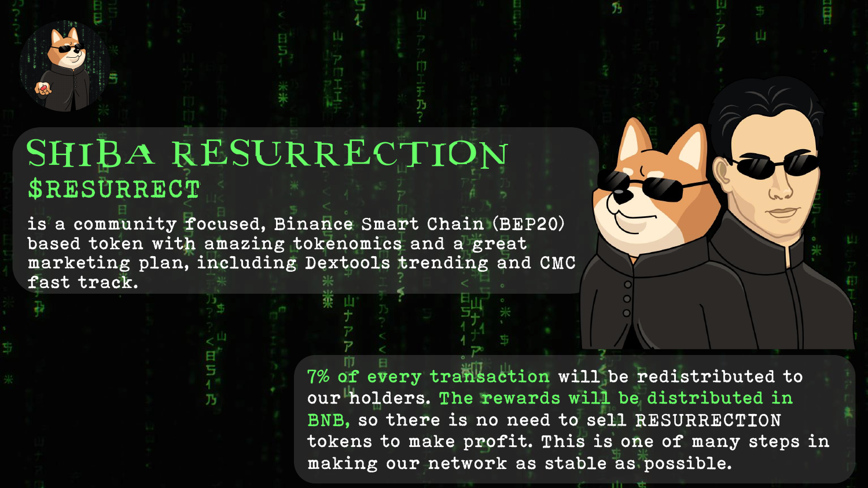

#### SHIBA RESURRECTION \$RESURRECT

is a community focused, Binance Smart Chain (BEP20) based token with amazing tokenomics and a great marketing plan, including Dextools trending and CMC fast track.

> 7% of every transaction will be redistributed to our holders. The rewards will be distributed in BNB, so there is no need to sell RESURRECTION tokens to make profit. This is one of many steps in making our network as stable as possible.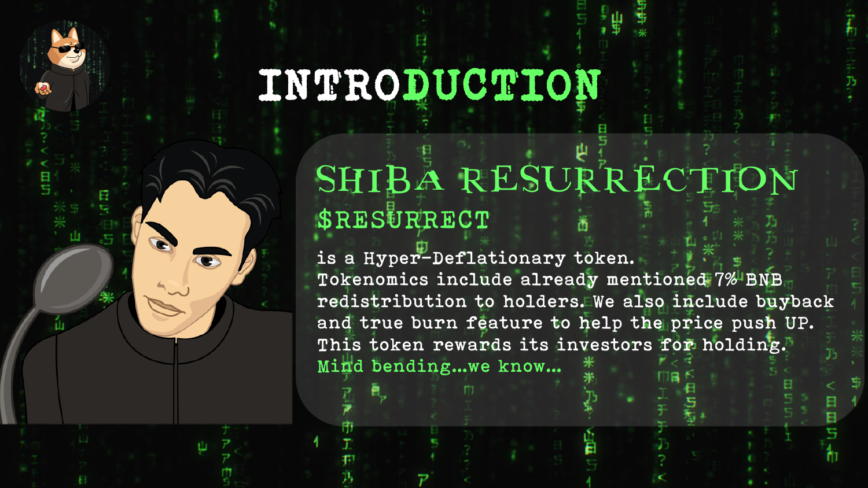## INTRODUCTION

#### SHIBA RESURRECTION \$RESURRECT

is a Hyper-Deflationary token. Tokenomics include already mentioned 7% BNB redistribution to holders. We also include buyback and true burn feature to help the price push UP. This token rewards its investors for holding. Mind bending...we know...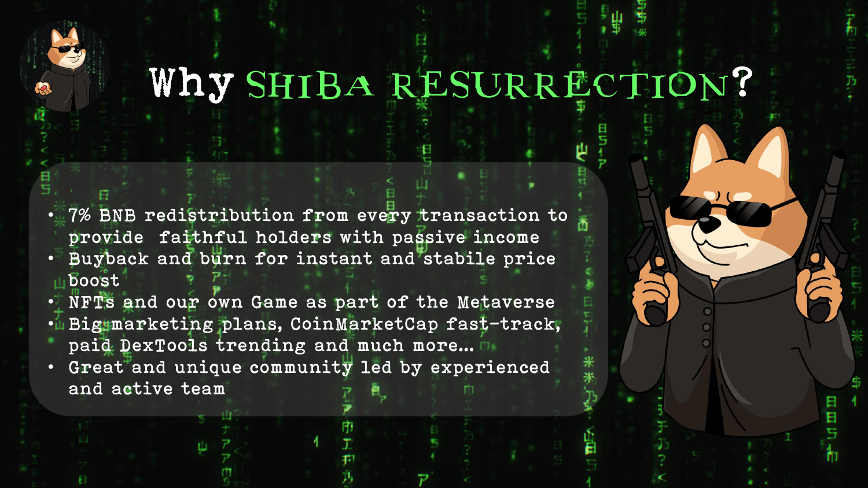### Why SHIBA RESURRECTION?

- 7% BNB redistribution from every transaction to provide faithful holders with passive income
- Buyback and burn for instant and stabile price boost
- NFTs and our own Game as part of the Metaverse • Big marketing plans, CoinMarketCap fast-track, paid DexTools trending and much more...
- Great and unique community led by experienced and active team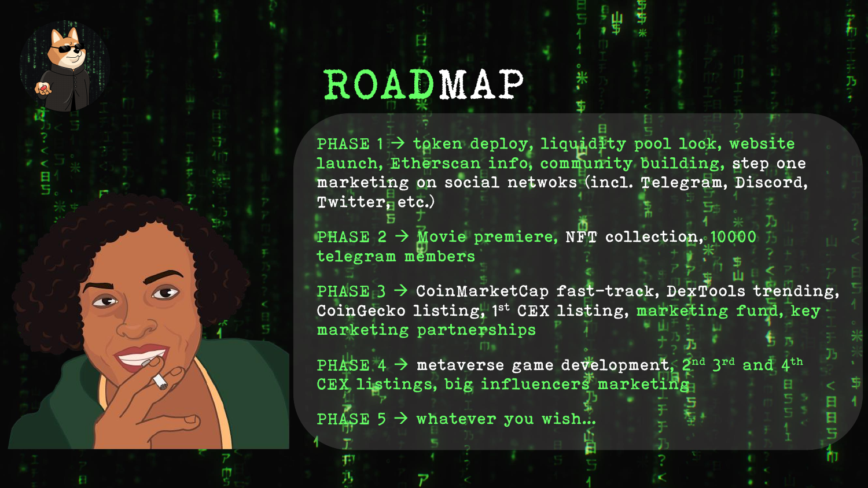

## ROADMAP

PHASE  $1 \rightarrow$  token deploy, liquidity pool lock, website launch, Etherscan info, community building, step one marketing on social netwoks (incl. Telegram, Discord, Twitter, etc.)

PHASE 2  $\rightarrow$  Movie premiere, NFT collection, 10000 telegram members

PHASE  $3 \rightarrow$  CoinMarketCap fast-track, DexTools trending, CoinGecko listing, 1st CEX listing, marketing fund, key marketing partnerships

PHASE 4  $\rightarrow$  metaverse game development, 2<sup>nd</sup> 3<sup>rd</sup> and 4<sup>th</sup> CEX listings, big influencers marketing

PHASE  $5 \rightarrow$  whatever you wish...